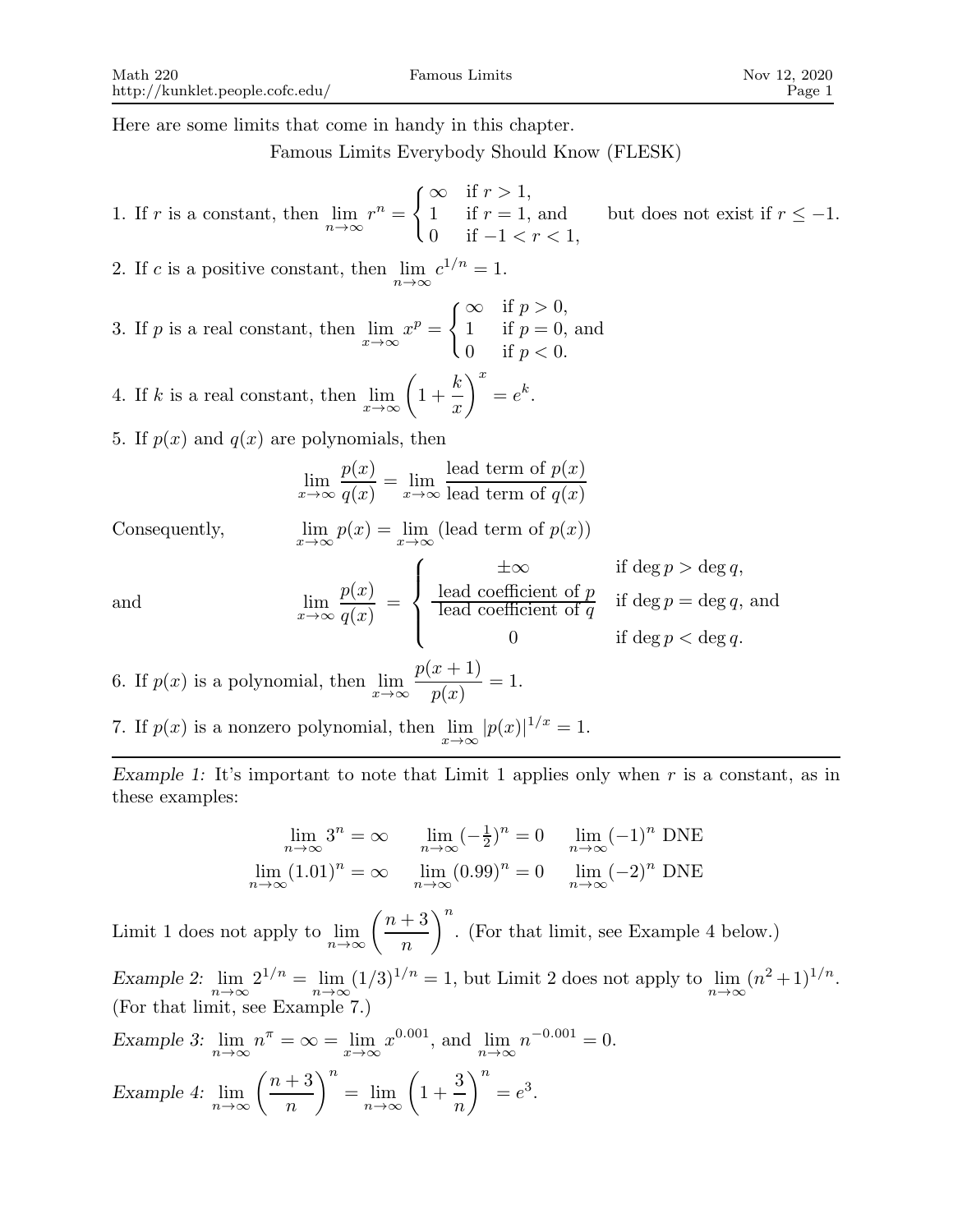Here are some limits that come in handy in this chapter.

Famous Limits Everybody Should Know (FLESK)

\n- 1. If 
$$
r
$$
 is a constant, then  $\lim_{n \to \infty} r^n = \begin{cases} \infty & \text{if } r > 1, \\ 1 & \text{if } r = 1, \text{ and } \\ 0 & \text{if } -1 < r < 1, \end{cases}$
\n- 2. If  $c$  is a positive constant, then  $\lim_{n \to \infty} c^{1/n} = 1$ .
\n- 3. If  $p$  is a real constant, then  $\lim_{n \to \infty} x^p = \begin{cases} \infty & \text{if } p > 0, \\ 1 & \text{if } p = 0, \text{ and } \\ 0 & \text{if } p < 0. \end{cases}$
\n- 4. If  $k$  is a real constant, then  $\lim_{x \to \infty} \left(1 + \frac{k}{x}\right)^x = e^k$ .
\n- 5. If  $p(x)$  and  $q(x)$  are polynomials, then  $\lim_{x \to \infty} \frac{p(x)}{q(x)} = \lim_{x \to \infty} \frac{\text{lead term of } p(x)}{\text{lead term of } q(x)}$
\n- Consequently,  $\lim_{x \to \infty} p(x) = \lim_{x \to \infty} (\text{lead term of } p(x))$  if  $\text{deg } p > \text{deg } q$ , and  $\lim_{x \to \infty} \frac{p(x)}{q(x)} = \begin{cases} \text{lead coefficient of } p & \text{if } \text{deg } p = \text{deg } q, \text{ and } \\ \text{lead coefficient of } q & \text{if } \text{deg } p = \text{deg } q, \text{ and } \\ 0 & \text{if } \text{deg } p < \text{deg } q. \end{cases}$
\n- 6. If  $p(x)$  is a polynomial, then  $\lim_{x \to \infty} \frac{p(x+1)}{p(x)} = 1$ .
\n

7. If  $p(x)$  is a nonzero polynomial, then  $\lim_{x \to \infty} |p(x)|^{1/x} = 1$ .

Example 1: It's important to note that Limit 1 applies only when  $r$  is a constant, as in these examples:

$$
\lim_{n \to \infty} 3^n = \infty \qquad \lim_{n \to \infty} (-\frac{1}{2})^n = 0 \qquad \lim_{n \to \infty} (-1)^n \text{ DNE}
$$

$$
\lim_{n \to \infty} (1.01)^n = \infty \qquad \lim_{n \to \infty} (0.99)^n = 0 \qquad \lim_{n \to \infty} (-2)^n \text{ DNE}
$$

Limit 1 does not apply to  $\lim_{n \to \infty} \left( \frac{n+3}{n} \right)$ n  $\Big)^n$ . (For that limit, see Example 4 below.) Example 2:  $\lim_{n\to\infty} 2^{1/n} = \lim_{n\to\infty} (1/3)^{1/n} = 1$ , but Limit 2 does not apply to  $\lim_{n\to\infty} (n^2+1)^{1/n}$ . (For that limit, see Example 7.)

Example 3: 
$$
\lim_{n \to \infty} n^{\pi} = \infty = \lim_{x \to \infty} x^{0.001}, \text{ and } \lim_{n \to \infty} n^{-0.001} = 0.
$$
  
Example 4: 
$$
\lim_{n \to \infty} \left(\frac{n+3}{n}\right)^n = \lim_{n \to \infty} \left(1 + \frac{3}{n}\right)^n = e^3.
$$